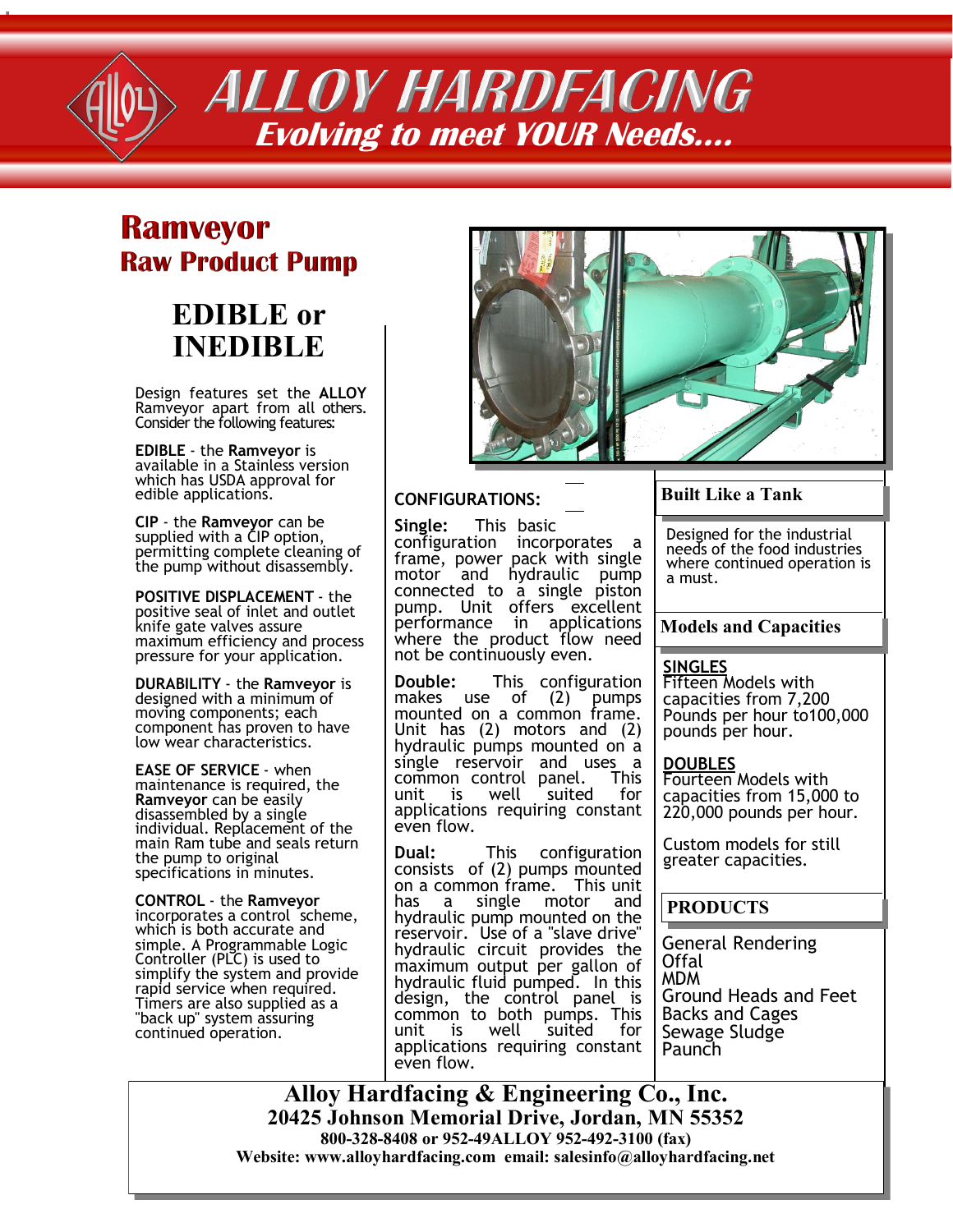

**ALLOY HARDFACING Evolving to meet YOUR Needs….**

# **Ramveyor Raw Product Pump**

# **EDIBLE or INEDIBLE**

Design features set the **ALLOY**  Ramveyor apart from all others. Consider the following features:

**EDIBLE** - the **Ramveyor** is available in a Stainless version which has USDA approval for edible applications.

**CIP** - the **Ramveyor** can be supplied with a CIP option, permitting complete cleaning of the pump without disassembly.

**POSITIVE DISPLACEMENT** - the positive seal of inlet and outlet knife gate valves assure maximum efficiency and process pressure for your application.

**DURABILITY** - the **Ramveyor** is designed with a minimum of moving components; each component has proven to have low wear characteristics.

**EASE OF SERVICE** - when maintenance is required, the **Ramveyor** can be easily disassembled by a single individual. Replacement of the main Ram tube and seals return the pump to original specifications in minutes.

**CONTROL** - the **Ramveyor** incorporates a control scheme, which is both accurate and simple. A Programmable Logic Controller (PLC) is used to simplify the system and provide rapid service when required. Timers are also supplied as a "back up" system assuring continued operation.



#### **CONFIGURATIONS:**

**Single:** This basic configuration incorporates a frame, power pack with single motor and hydraulic pump connected to a single piston pump. Unit offers excellent performance in applications where the product flow need not be continuously even.

**Double:** This configuration makes use of (2) pumps mounted on a common frame. Unit has (2) motors and (2) hydraulic pumps mounted on a single reservoir and uses a common control panel. This unit is well suited for applications requiring constant even flow.

**Dual:** This configuration consists of (2) pumps mounted on a common frame. This unit has a single motor and hydraulic pump mounted on the reservoir. Use of a "slave drive" hydraulic circuit provides the maximum output per gallon of hydraulic fluid pumped. In this design, the control panel is common to both pumps. This unit is well suited for applications requiring constant even flow.

#### **Built Like a Tank**

Designed for the industrial needs of the food industries where continued operation is a must.

#### **Models and Capacities**

#### **SINGLES**

Fifteen Models with capacities from 7,200 Pounds per hour to100,000 pounds per hour.

**DOUBLES**

Fourteen Models with capacities from 15,000 to 220,000 pounds per hour.

Custom models for still greater capacities.

### **PRODUCTS**

General Rendering Offal MDM Ground Heads and Feet Backs and Cages Sewage Sludge **Paunch** 

**Alloy Hardfacing & Engineering Co., Inc. 20425 Johnson Memorial Drive, Jordan, MN 55352 800-328-8408 or 952-49ALLOY 952-492-3100 (fax) Website: www.alloyhardfacing.com email: salesinfo@alloyhardfacing.net**